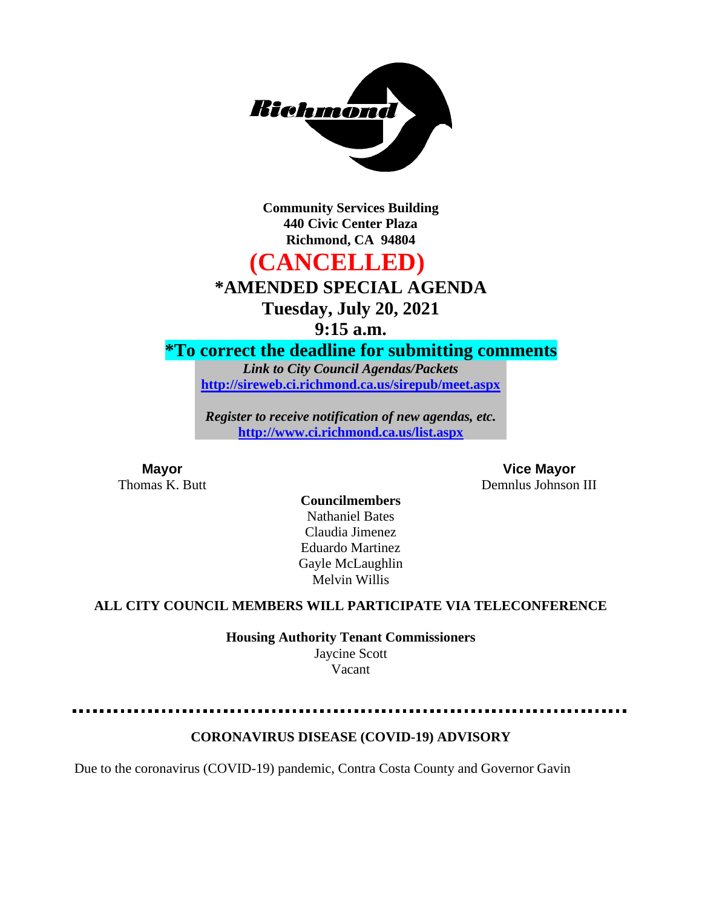

**Community Services Building 440 Civic Center Plaza Richmond, CA 94804**

# **(CANCELLED)**

# **\*AMENDED SPECIAL AGENDA**

**Tuesday, July 20, 2021**

**9:15 a.m.**

### **\*To correct the deadline for submitting comments**

*Link to City Council Agendas/Packets* **<http://sireweb.ci.richmond.ca.us/sirepub/meet.aspx>**

*Register to receive notification of new agendas, etc.* **<http://www.ci.richmond.ca.us/list.aspx>**

**Mayor Vice Mayor** Thomas K. Butt Demnlus Johnson III

### **Councilmembers** Nathaniel Bates Claudia Jimenez Eduardo Martinez Gayle McLaughlin Melvin Willis

### **ALL CITY COUNCIL MEMBERS WILL PARTICIPATE VIA TELECONFERENCE**

**Housing Authority Tenant Commissioners**

Jaycine Scott Vacant

### **CORONAVIRUS DISEASE (COVID-19) ADVISORY**

Due to the coronavirus (COVID-19) pandemic, Contra Costa County and Governor Gavin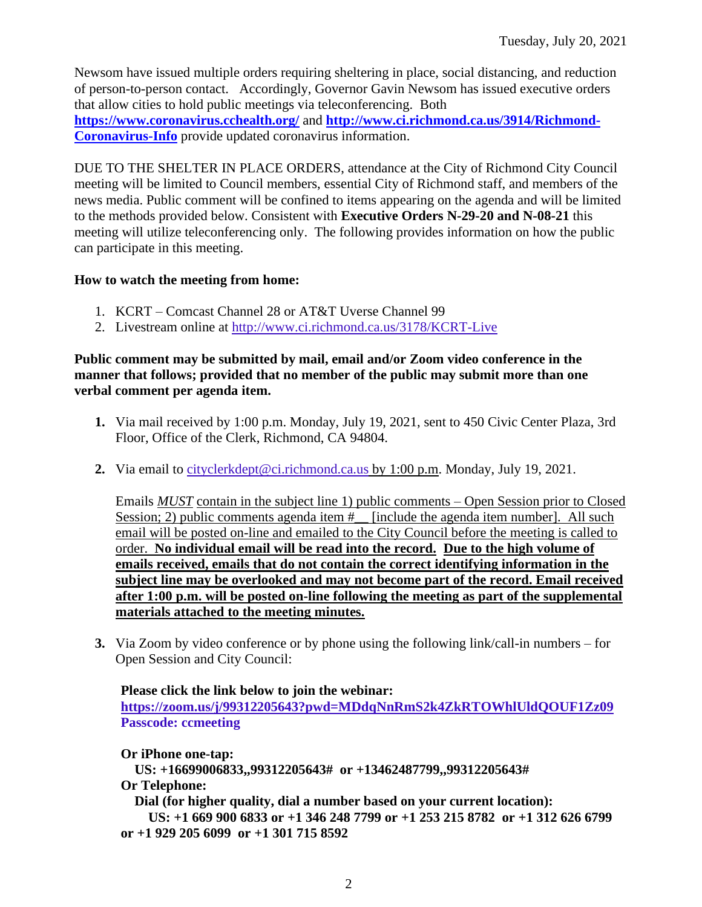Newsom have issued multiple orders requiring sheltering in place, social distancing, and reduction of person-to-person contact. Accordingly, Governor Gavin Newsom has issued executive orders that allow cities to hold public meetings via teleconferencing. Both **<https://www.coronavirus.cchealth.org/>** and **[http://www.ci.richmond.ca.us/3914/Richmond-](http://www.ci.richmond.ca.us/3914/Richmond-Coronavirus-Info)[Coronavirus-Info](http://www.ci.richmond.ca.us/3914/Richmond-Coronavirus-Info)** provide updated coronavirus information.

DUE TO THE SHELTER IN PLACE ORDERS, attendance at the City of Richmond City Council meeting will be limited to Council members, essential City of Richmond staff, and members of the news media. Public comment will be confined to items appearing on the agenda and will be limited to the methods provided below. Consistent with **Executive Orders N-29-20 and N-08-21** this meeting will utilize teleconferencing only. The following provides information on how the public can participate in this meeting.

### **How to watch the meeting from home:**

- 1. KCRT Comcast Channel 28 or AT&T Uverse Channel 99
- 2. Livestream online at<http://www.ci.richmond.ca.us/3178/KCRT-Live>

### **Public comment may be submitted by mail, email and/or Zoom video conference in the manner that follows; provided that no member of the public may submit more than one verbal comment per agenda item.**

- **1.** Via mail received by 1:00 p.m. Monday, July 19, 2021, sent to 450 Civic Center Plaza, 3rd Floor, Office of the Clerk, Richmond, CA 94804.
- **2.** Via email to [cityclerkdept@ci.richmond.ca.us](mailto:cityclerkdept@ci.richmond.ca.us) by 1:00 p.m. Monday, July 19, 2021.

Emails *MUST* contain in the subject line 1) public comments – Open Session prior to Closed Session; 2) public comments agenda item  $#$  [include the agenda item number]. All such email will be posted on-line and emailed to the City Council before the meeting is called to order. **No individual email will be read into the record. Due to the high volume of emails received, emails that do not contain the correct identifying information in the subject line may be overlooked and may not become part of the record. Email received after 1:00 p.m. will be posted on-line following the meeting as part of the supplemental materials attached to the meeting minutes.**

**3.** Via Zoom by video conference or by phone using the following link/call-in numbers – for Open Session and City Council:

### **Please click the link below to join the webinar:**

**<https://zoom.us/j/99312205643?pwd=MDdqNnRmS2k4ZkRTOWhlUldQOUF1Zz09> Passcode: ccmeeting**

**Or iPhone one-tap:**

**US: +16699006833,,99312205643# or +13462487799,,99312205643# Or Telephone:**

**Dial (for higher quality, dial a number based on your current location):**

**US: +1 669 900 6833 or +1 346 248 7799 or +1 253 215 8782 or +1 312 626 6799 or +1 929 205 6099 or +1 301 715 8592**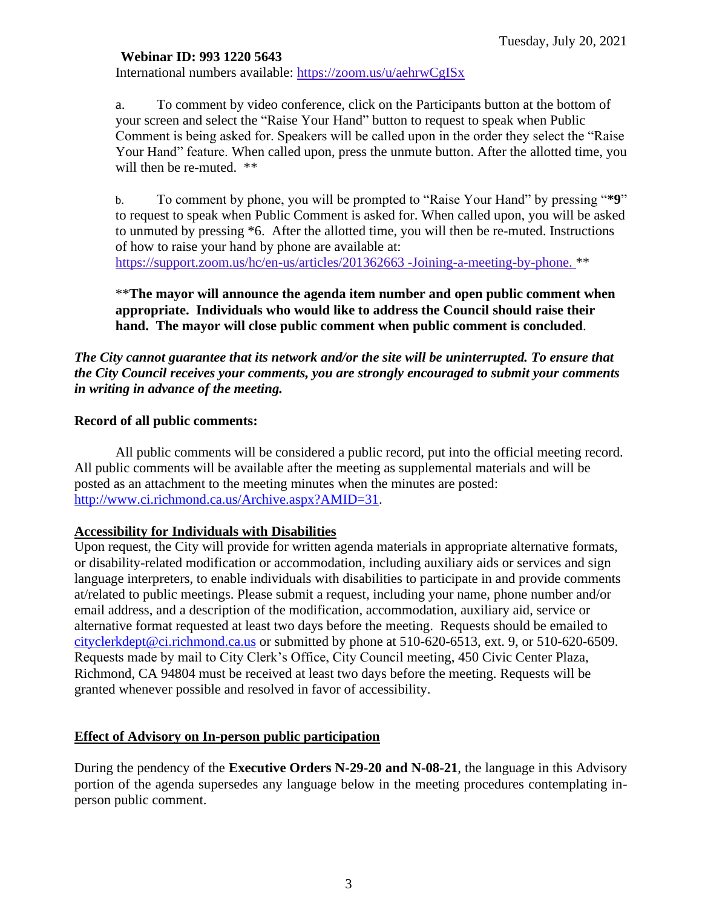### **Webinar ID: 993 1220 5643**

International numbers available: <https://zoom.us/u/aehrwCgISx>

a. To comment by video conference, click on the Participants button at the bottom of your screen and select the "Raise Your Hand" button to request to speak when Public Comment is being asked for. Speakers will be called upon in the order they select the "Raise Your Hand" feature. When called upon, press the unmute button. After the allotted time, you will then be re-muted. \*\*

b. To comment by phone, you will be prompted to "Raise Your Hand" by pressing "**\*9**" to request to speak when Public Comment is asked for. When called upon, you will be asked to unmuted by pressing \*6. After the allotted time, you will then be re-muted. Instructions of how to raise your hand by phone are available at: [https://support.zoom.us/hc/en-us/articles/201362663 -Joining-a-meeting-by-phone.](https://support.zoom.us/hc/en-us/articles/201362663) \*\*

\*\***The mayor will announce the agenda item number and open public comment when appropriate. Individuals who would like to address the Council should raise their hand. The mayor will close public comment when public comment is concluded**.

### *The City cannot guarantee that its network and/or the site will be uninterrupted. To ensure that the City Council receives your comments, you are strongly encouraged to submit your comments in writing in advance of the meeting.*

### **Record of all public comments:**

All public comments will be considered a public record, put into the official meeting record. All public comments will be available after the meeting as supplemental materials and will be posted as an attachment to the meeting minutes when the minutes are posted: [http://www.ci.richmond.ca.us/Archive.aspx?AMID=31.](http://www.ci.richmond.ca.us/Archive.aspx?AMID=31)

### **Accessibility for Individuals with Disabilities**

Upon request, the City will provide for written agenda materials in appropriate alternative formats, or disability-related modification or accommodation, including auxiliary aids or services and sign language interpreters, to enable individuals with disabilities to participate in and provide comments at/related to public meetings. Please submit a request, including your name, phone number and/or email address, and a description of the modification, accommodation, auxiliary aid, service or alternative format requested at least two days before the meeting. Requests should be emailed to [cityclerkdept@ci.richmond.ca.us](mailto:cityclerkdept@ci.richmond.ca.us) or submitted by phone at 510-620-6513, ext. 9, or 510-620-6509. Requests made by mail to City Clerk's Office, City Council meeting, 450 Civic Center Plaza, Richmond, CA 94804 must be received at least two days before the meeting. Requests will be granted whenever possible and resolved in favor of accessibility.

### **Effect of Advisory on In-person public participation**

During the pendency of the **Executive Orders N-29-20 and N-08-21**, the language in this Advisory portion of the agenda supersedes any language below in the meeting procedures contemplating inperson public comment.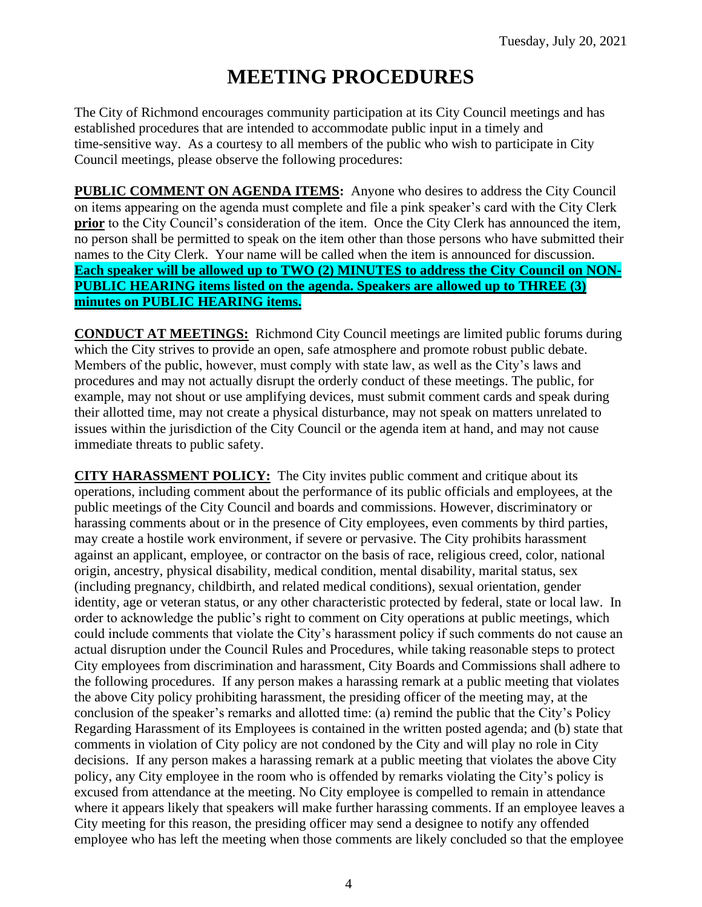# **MEETING PROCEDURES**

The City of Richmond encourages community participation at its City Council meetings and has established procedures that are intended to accommodate public input in a timely and time-sensitive way. As a courtesy to all members of the public who wish to participate in City Council meetings, please observe the following procedures:

**PUBLIC COMMENT ON AGENDA ITEMS:** Anyone who desires to address the City Council on items appearing on the agenda must complete and file a pink speaker's card with the City Clerk **prior** to the City Council's consideration of the item. Once the City Clerk has announced the item, no person shall be permitted to speak on the item other than those persons who have submitted their names to the City Clerk. Your name will be called when the item is announced for discussion. **Each speaker will be allowed up to TWO (2) MINUTES to address the City Council on NON-PUBLIC HEARING items listed on the agenda. Speakers are allowed up to THREE (3) minutes on PUBLIC HEARING items.**

**CONDUCT AT MEETINGS:** Richmond City Council meetings are limited public forums during which the City strives to provide an open, safe atmosphere and promote robust public debate. Members of the public, however, must comply with state law, as well as the City's laws and procedures and may not actually disrupt the orderly conduct of these meetings. The public, for example, may not shout or use amplifying devices, must submit comment cards and speak during their allotted time, may not create a physical disturbance, may not speak on matters unrelated to issues within the jurisdiction of the City Council or the agenda item at hand, and may not cause immediate threats to public safety.

**CITY HARASSMENT POLICY:** The City invites public comment and critique about its operations, including comment about the performance of its public officials and employees, at the public meetings of the City Council and boards and commissions. However, discriminatory or harassing comments about or in the presence of City employees, even comments by third parties, may create a hostile work environment, if severe or pervasive. The City prohibits harassment against an applicant, employee, or contractor on the basis of race, religious creed, color, national origin, ancestry, physical disability, medical condition, mental disability, marital status, sex (including pregnancy, childbirth, and related medical conditions), sexual orientation, gender identity, age or veteran status, or any other characteristic protected by federal, state or local law. In order to acknowledge the public's right to comment on City operations at public meetings, which could include comments that violate the City's harassment policy if such comments do not cause an actual disruption under the Council Rules and Procedures, while taking reasonable steps to protect City employees from discrimination and harassment, City Boards and Commissions shall adhere to the following procedures. If any person makes a harassing remark at a public meeting that violates the above City policy prohibiting harassment, the presiding officer of the meeting may, at the conclusion of the speaker's remarks and allotted time: (a) remind the public that the City's Policy Regarding Harassment of its Employees is contained in the written posted agenda; and (b) state that comments in violation of City policy are not condoned by the City and will play no role in City decisions. If any person makes a harassing remark at a public meeting that violates the above City policy, any City employee in the room who is offended by remarks violating the City's policy is excused from attendance at the meeting. No City employee is compelled to remain in attendance where it appears likely that speakers will make further harassing comments. If an employee leaves a City meeting for this reason, the presiding officer may send a designee to notify any offended employee who has left the meeting when those comments are likely concluded so that the employee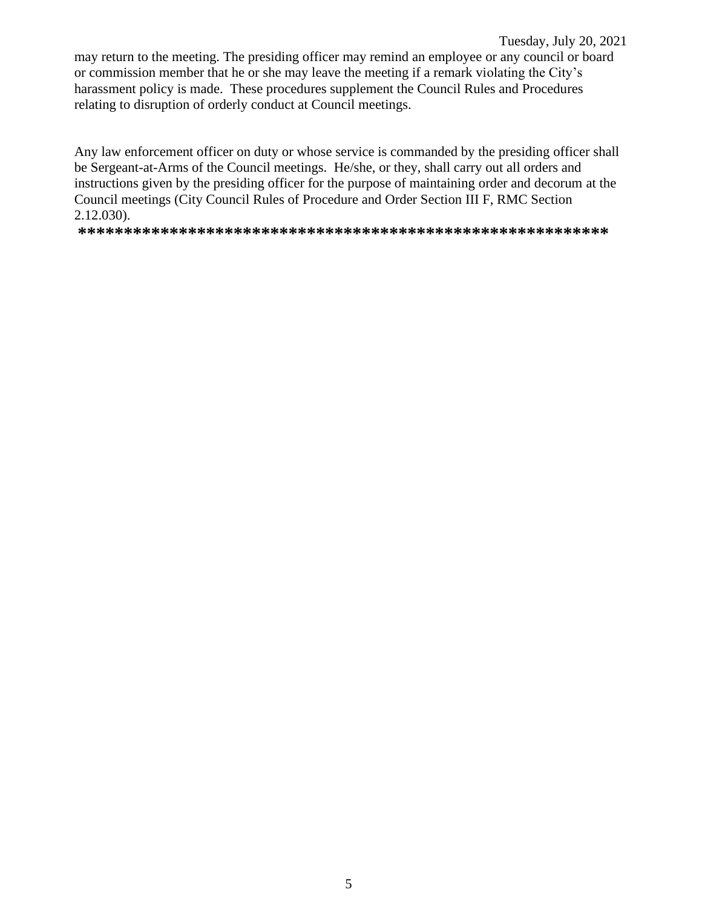Tuesday, July 20, 2021 may return to the meeting. The presiding officer may remind an employee or any council or board or commission member that he or she may leave the meeting if a remark violating the City's harassment policy is made. These procedures supplement the Council Rules and Procedures relating to disruption of orderly conduct at Council meetings.

Any law enforcement officer on duty or whose service is commanded by the presiding officer shall be Sergeant-at-Arms of the Council meetings. He/she, or they, shall carry out all orders and instructions given by the presiding officer for the purpose of maintaining order and decorum at the Council meetings (City Council Rules of Procedure and Order Section III F, RMC Section 2.12.030).

**\*\*\*\*\*\*\*\*\*\*\*\*\*\*\*\*\*\*\*\*\*\*\*\*\*\*\*\*\*\*\*\*\*\*\*\*\*\*\*\*\*\*\*\*\*\*\*\*\*\*\*\*\*\*\*\*\*\***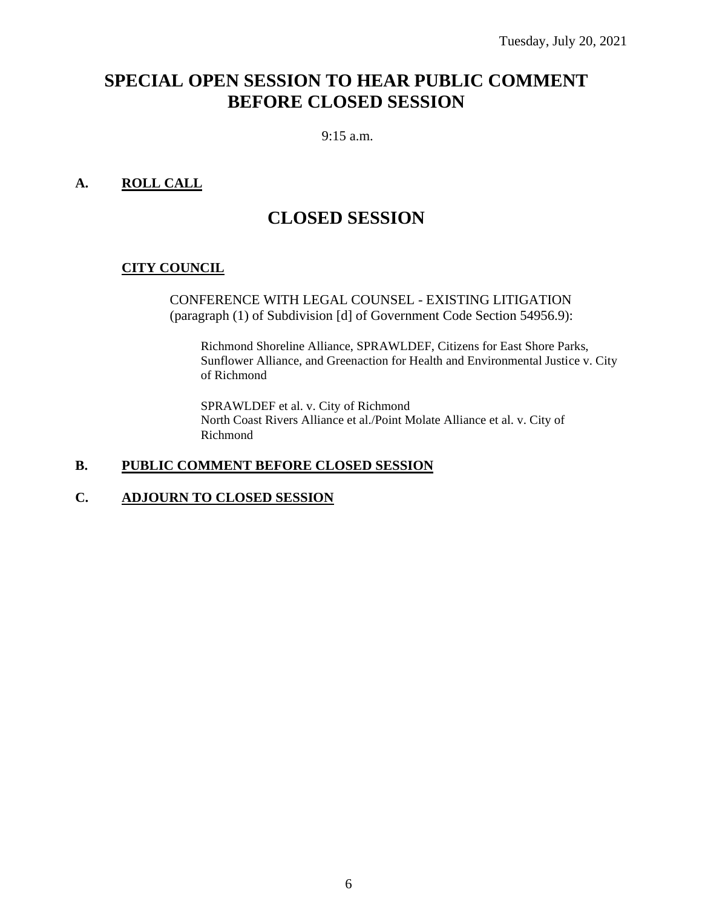# **SPECIAL OPEN SESSION TO HEAR PUBLIC COMMENT BEFORE CLOSED SESSION**

#### 9:15 a.m.

### **A. ROLL CALL**

### **CLOSED SESSION**

### **CITY COUNCIL**

CONFERENCE WITH LEGAL COUNSEL - EXISTING LITIGATION (paragraph (1) of Subdivision [d] of Government Code Section 54956.9):

Richmond Shoreline Alliance, SPRAWLDEF, Citizens for East Shore Parks, Sunflower Alliance, and Greenaction for Health and Environmental Justice v. City of Richmond

SPRAWLDEF et al. v. City of Richmond North Coast Rivers Alliance et al./Point Molate Alliance et al. v. City of Richmond

### **B. PUBLIC COMMENT BEFORE CLOSED SESSION**

#### **C. ADJOURN TO CLOSED SESSION**